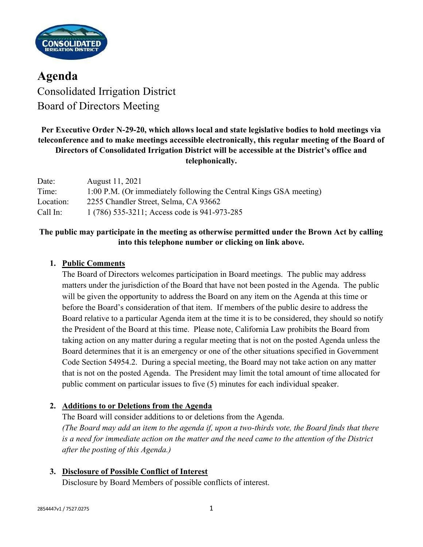

Agenda Consolidated Irrigation District Board of Directors Meeting

# Per Executive Order N-29-20, which allows local and state legislative bodies to hold meetings via teleconference and to make meetings accessible electronically, this regular meeting of the Board of Directors of Consolidated Irrigation District will be accessible at the District's office and telephonically.

| Date:     | August 11, 2021                                                    |
|-----------|--------------------------------------------------------------------|
| Time:     | 1:00 P.M. (Or immediately following the Central Kings GSA meeting) |
| Location: | 2255 Chandler Street, Selma, CA 93662                              |
| Call In:  | 1 (786) 535-3211; Access code is 941-973-285                       |

# The public may participate in the meeting as otherwise permitted under the Brown Act by calling into this telephone number or clicking on link above.

## 1. Public Comments

The Board of Directors welcomes participation in Board meetings. The public may address matters under the jurisdiction of the Board that have not been posted in the Agenda. The public will be given the opportunity to address the Board on any item on the Agenda at this time or before the Board's consideration of that item. If members of the public desire to address the Board relative to a particular Agenda item at the time it is to be considered, they should so notify the President of the Board at this time. Please note, California Law prohibits the Board from taking action on any matter during a regular meeting that is not on the posted Agenda unless the Board determines that it is an emergency or one of the other situations specified in Government Code Section 54954.2. During a special meeting, the Board may not take action on any matter that is not on the posted Agenda. The President may limit the total amount of time allocated for public comment on particular issues to five (5) minutes for each individual speaker.

## 2. Additions to or Deletions from the Agenda

The Board will consider additions to or deletions from the Agenda. (The Board may add an item to the agenda if, upon a two-thirds vote, the Board finds that there is a need for immediate action on the matter and the need came to the attention of the District after the posting of this Agenda.)

3. Disclosure of Possible Conflict of Interest

Disclosure by Board Members of possible conflicts of interest.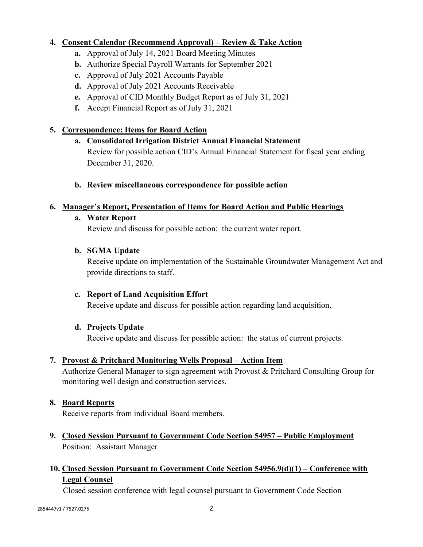## 4. Consent Calendar (Recommend Approval) – Review & Take Action

- a. Approval of July 14, 2021 Board Meeting Minutes
- b. Authorize Special Payroll Warrants for September 2021
- c. Approval of July 2021 Accounts Payable
- d. Approval of July 2021 Accounts Receivable
- e. Approval of CID Monthly Budget Report as of July 31, 2021
- f. Accept Financial Report as of July 31, 2021

### 5. Correspondence: Items for Board Action

- a. Consolidated Irrigation District Annual Financial Statement Review for possible action CID's Annual Financial Statement for fiscal year ending December 31, 2020.
- b. Review miscellaneous correspondence for possible action

### 6. Manager's Report, Presentation of Items for Board Action and Public Hearings

#### a. Water Report

Review and discuss for possible action: the current water report.

#### b. SGMA Update

Receive update on implementation of the Sustainable Groundwater Management Act and provide directions to staff.

### c. Report of Land Acquisition Effort

Receive update and discuss for possible action regarding land acquisition.

### d. Projects Update

Receive update and discuss for possible action: the status of current projects.

### 7. Provost & Pritchard Monitoring Wells Proposal – Action Item

Authorize General Manager to sign agreement with Provost & Pritchard Consulting Group for monitoring well design and construction services.

#### 8. Board Reports

Receive reports from individual Board members.

9. Closed Session Pursuant to Government Code Section 54957 – Public Employment Position: Assistant Manager

# 10. Closed Session Pursuant to Government Code Section 54956.9(d)(1) – Conference with Legal Counsel

Closed session conference with legal counsel pursuant to Government Code Section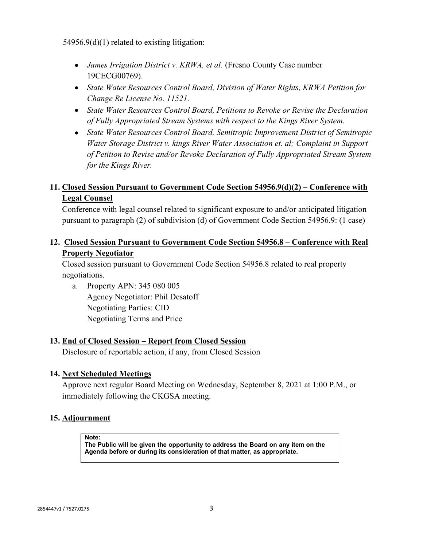54956.9(d)(1) related to existing litigation:

- *James Irrigation District v. KRWA, et al.* (Fresno County Case number 19CECG00769).
- State Water Resources Control Board, Division of Water Rights, KRWA Petition for Change Re License No. 11521.
- State Water Resources Control Board, Petitions to Revoke or Revise the Declaration of Fully Appropriated Stream Systems with respect to the Kings River System.
- State Water Resources Control Board, Semitropic Improvement District of Semitropic Water Storage District v. kings River Water Association et. al; Complaint in Support of Petition to Revise and/or Revoke Declaration of Fully Appropriated Stream System for the Kings River.

## 11. Closed Session Pursuant to Government Code Section 54956.9(d)(2) – Conference with Legal Counsel

Conference with legal counsel related to significant exposure to and/or anticipated litigation pursuant to paragraph (2) of subdivision (d) of Government Code Section 54956.9: (1 case)

## 12. Closed Session Pursuant to Government Code Section 54956.8 – Conference with Real Property Negotiator

Closed session pursuant to Government Code Section 54956.8 related to real property negotiations.

 a. Property APN: 345 080 005 Agency Negotiator: Phil Desatoff Negotiating Parties: CID Negotiating Terms and Price

### 13. End of Closed Session – Report from Closed Session

Disclosure of reportable action, if any, from Closed Session

### 14. Next Scheduled Meetings

Approve next regular Board Meeting on Wednesday, September 8, 2021 at 1:00 P.M., or immediately following the CKGSA meeting.

### 15. Adjournment

Note:

The Public will be given the opportunity to address the Board on any item on the Agenda before or during its consideration of that matter, as appropriate.